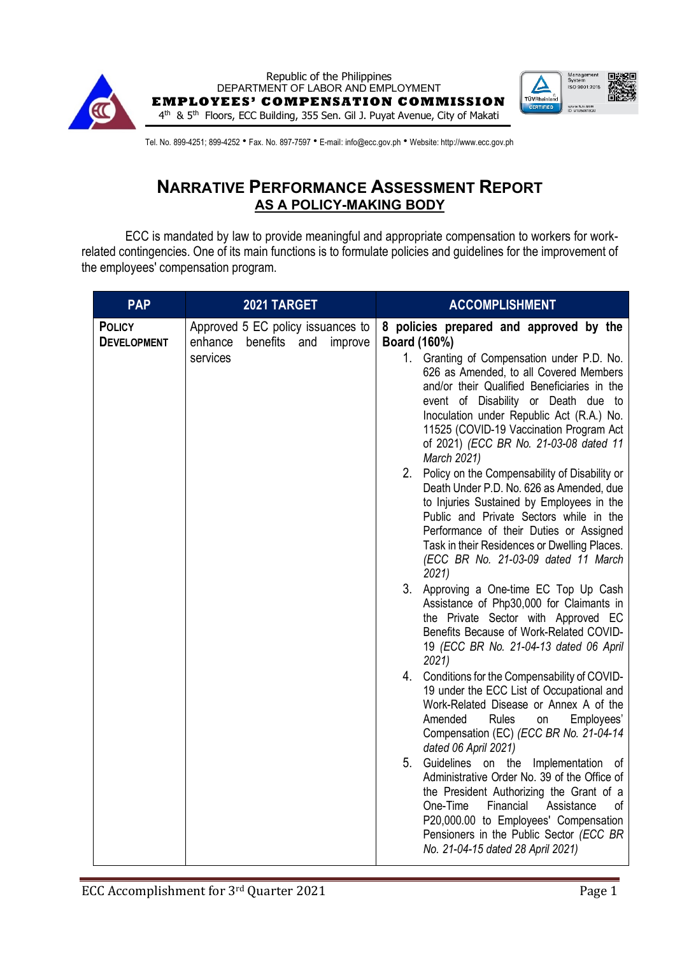



Tel. No. 899-4251; 899-4252 · Fax. No. 897-7597 · E-mail: info@ecc.gov.ph · Website: http://www.ecc.gov.ph

## **NARRATIVE PERFORMANCE ASSESSMENT REPORT AS A POLICY-MAKING BODY**

ECC is mandated by law to provide meaningful and appropriate compensation to workers for workrelated contingencies. One of its main functions is to formulate policies and guidelines for the improvement of the employees' compensation program.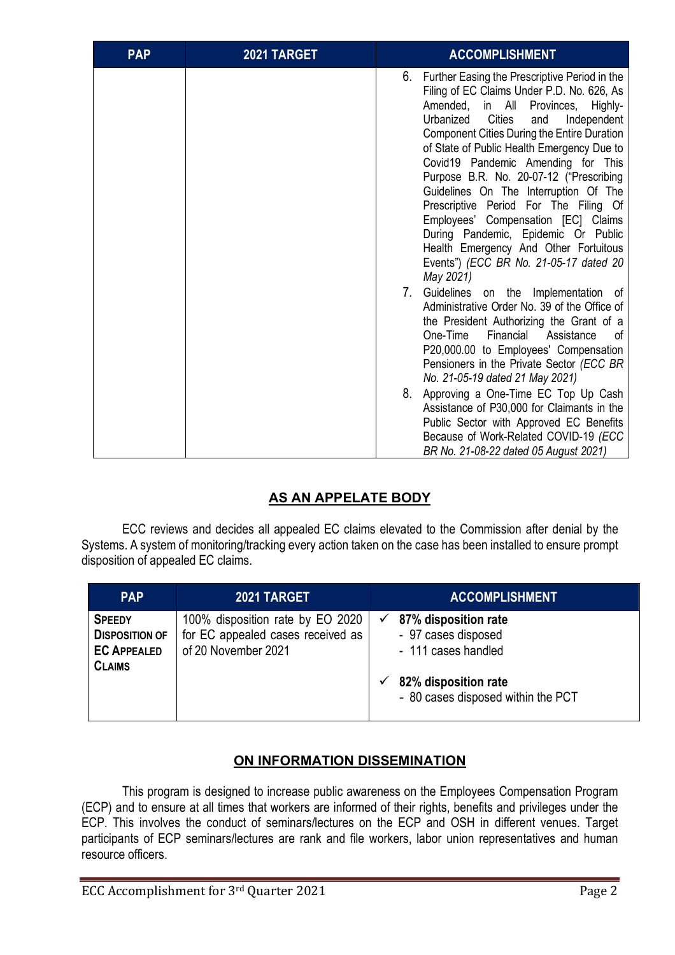| <b>PAP</b> | 2021 TARGET | <b>ACCOMPLISHMENT</b>                                                                                                                                                                                                                                                                                                                                                                                                                                                                                                                                                                                                                                        |
|------------|-------------|--------------------------------------------------------------------------------------------------------------------------------------------------------------------------------------------------------------------------------------------------------------------------------------------------------------------------------------------------------------------------------------------------------------------------------------------------------------------------------------------------------------------------------------------------------------------------------------------------------------------------------------------------------------|
|            |             | Further Easing the Prescriptive Period in the<br>6.<br>Filing of EC Claims Under P.D. No. 626, As<br>Amended, in All<br>Provinces,<br>Highly-<br>Urbanized<br><b>Cities</b><br>and<br>Independent<br><b>Component Cities During the Entire Duration</b><br>of State of Public Health Emergency Due to<br>Covid19 Pandemic Amending for This<br>Purpose B.R. No. 20-07-12 ("Prescribing<br>Guidelines On The Interruption Of The<br>Prescriptive Period For The Filing Of<br>Employees' Compensation [EC] Claims<br>During Pandemic, Epidemic Or Public<br>Health Emergency And Other Fortuitous<br>Events") (ECC BR No. 21-05-17 dated 20<br>May 2021)<br>7. |
|            |             | Guidelines on the Implementation of<br>Administrative Order No. 39 of the Office of<br>the President Authorizing the Grant of a<br>One-Time<br>Financial<br>Assistance<br>οf<br>P20,000.00 to Employees' Compensation<br>Pensioners in the Private Sector (ECC BR<br>No. 21-05-19 dated 21 May 2021)<br>8.<br>Approving a One-Time EC Top Up Cash                                                                                                                                                                                                                                                                                                            |
|            |             | Assistance of P30,000 for Claimants in the<br>Public Sector with Approved EC Benefits<br>Because of Work-Related COVID-19 (ECC<br>BR No. 21-08-22 dated 05 August 2021)                                                                                                                                                                                                                                                                                                                                                                                                                                                                                      |

## **AS AN APPELATE BODY**

ECC reviews and decides all appealed EC claims elevated to the Commission after denial by the Systems. A system of monitoring/tracking every action taken on the case has been installed to ensure prompt disposition of appealed EC claims.

| <b>PAP</b>                                                                    | 2021 TARGET                                                                                  | <b>ACCOMPLISHMENT</b>                                                                                                                 |
|-------------------------------------------------------------------------------|----------------------------------------------------------------------------------------------|---------------------------------------------------------------------------------------------------------------------------------------|
| <b>SPEEDY</b><br><b>DISPOSITION OF</b><br><b>EC APPEALED</b><br><b>CLAIMS</b> | 100% disposition rate by EO 2020<br>for EC appealed cases received as<br>of 20 November 2021 | 87% disposition rate<br>✓<br>- 97 cases disposed<br>- 111 cases handled<br>82% disposition rate<br>- 80 cases disposed within the PCT |

## **ON INFORMATION DISSEMINATION**

This program is designed to increase public awareness on the Employees Compensation Program (ECP) and to ensure at all times that workers are informed of their rights, benefits and privileges under the ECP. This involves the conduct of seminars/lectures on the ECP and OSH in different venues. Target participants of ECP seminars/lectures are rank and file workers, labor union representatives and human resource officers.